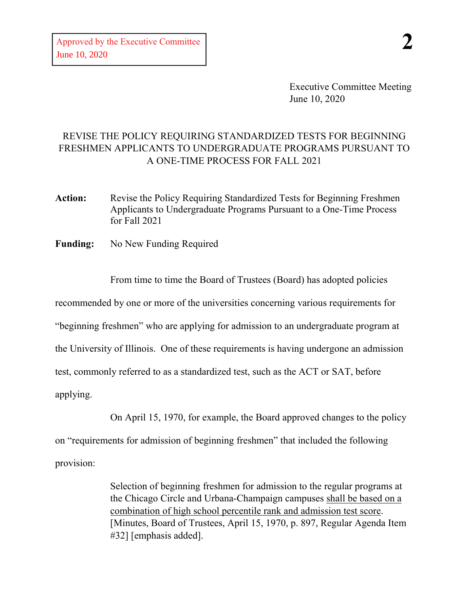Executive Committee Meeting June 10, 2020

## REVISE THE POLICY REQUIRING STANDARDIZED TESTS FOR BEGINNING FRESHMEN APPLICANTS TO UNDERGRADUATE PROGRAMS PURSUANT TO A ONE-TIME PROCESS FOR FALL 2021

- **Action:** Revise the Policy Requiring Standardized Tests for Beginning Freshmen Applicants to Undergraduate Programs Pursuant to a One-Time Process for Fall 2021
- **Funding:** No New Funding Required

From time to time the Board of Trustees (Board) has adopted policies recommended by one or more of the universities concerning various requirements for "beginning freshmen" who are applying for admission to an undergraduate program at the University of Illinois. One of these requirements is having undergone an admission test, commonly referred to as a standardized test, such as the ACT or SAT, before applying.

On April 15, 1970, for example, the Board approved changes to the policy

on "requirements for admission of beginning freshmen" that included the following

provision:

Selection of beginning freshmen for admission to the regular programs at the Chicago Circle and Urbana-Champaign campuses shall be based on a combination of high school percentile rank and admission test score. [Minutes, Board of Trustees, April 15, 1970, p. 897, Regular Agenda Item #32] [emphasis added].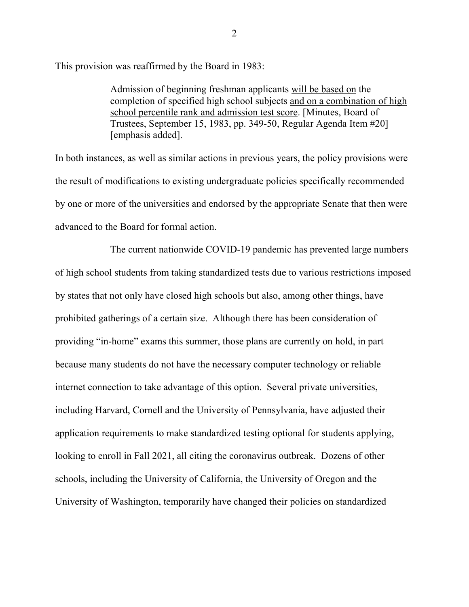This provision was reaffirmed by the Board in 1983:

Admission of beginning freshman applicants will be based on the completion of specified high school subjects and on a combination of high school percentile rank and admission test score. [Minutes, Board of Trustees, September 15, 1983, pp. 349-50, Regular Agenda Item #20] [emphasis added].

In both instances, as well as similar actions in previous years, the policy provisions were the result of modifications to existing undergraduate policies specifically recommended by one or more of the universities and endorsed by the appropriate Senate that then were advanced to the Board for formal action.

The current nationwide COVID-19 pandemic has prevented large numbers of high school students from taking standardized tests due to various restrictions imposed by states that not only have closed high schools but also, among other things, have prohibited gatherings of a certain size. Although there has been consideration of providing "in-home" exams this summer, those plans are currently on hold, in part because many students do not have the necessary computer technology or reliable internet connection to take advantage of this option. Several private universities, including Harvard, Cornell and the University of Pennsylvania, have adjusted their application requirements to make standardized testing optional for students applying, looking to enroll in Fall 2021, all citing the coronavirus outbreak. Dozens of other schools, including the University of California, the University of Oregon and the University of Washington, temporarily have changed their policies on standardized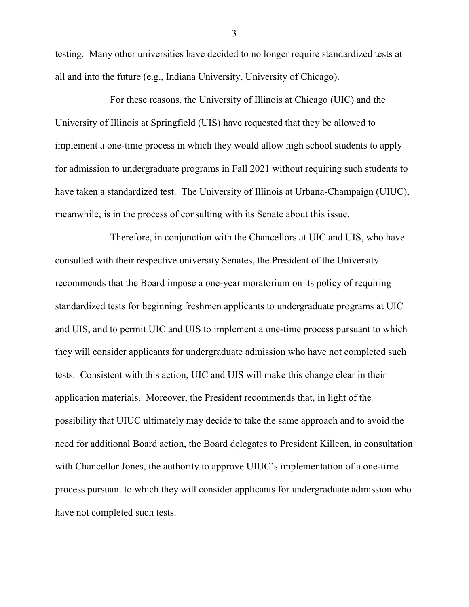testing. Many other universities have decided to no longer require standardized tests at all and into the future (e.g., Indiana University, University of Chicago).

For these reasons, the University of Illinois at Chicago (UIC) and the University of Illinois at Springfield (UIS) have requested that they be allowed to implement a one-time process in which they would allow high school students to apply for admission to undergraduate programs in Fall 2021 without requiring such students to have taken a standardized test. The University of Illinois at Urbana-Champaign (UIUC), meanwhile, is in the process of consulting with its Senate about this issue.

Therefore, in conjunction with the Chancellors at UIC and UIS, who have consulted with their respective university Senates, the President of the University recommends that the Board impose a one-year moratorium on its policy of requiring standardized tests for beginning freshmen applicants to undergraduate programs at UIC and UIS, and to permit UIC and UIS to implement a one-time process pursuant to which they will consider applicants for undergraduate admission who have not completed such tests. Consistent with this action, UIC and UIS will make this change clear in their application materials. Moreover, the President recommends that, in light of the possibility that UIUC ultimately may decide to take the same approach and to avoid the need for additional Board action, the Board delegates to President Killeen, in consultation with Chancellor Jones, the authority to approve UIUC's implementation of a one-time process pursuant to which they will consider applicants for undergraduate admission who have not completed such tests.

3